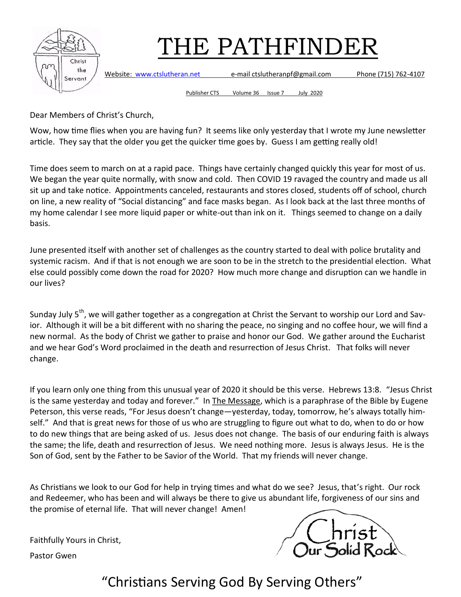

Website: [www.ctslutheran.net](http://www.ctslutheran.net/) e-mail ctslutheranpf@gmail.com Phone (715) 762-4107

Publisher CTS Volume 36 Issue 7 July 2020

Dear Members of Christ's Church,

Wow, how time flies when you are having fun? It seems like only yesterday that I wrote my June newsletter article. They say that the older you get the quicker time goes by. Guess I am getting really old!

Time does seem to march on at a rapid pace. Things have certainly changed quickly this year for most of us. We began the year quite normally, with snow and cold. Then COVID 19 ravaged the country and made us all sit up and take notice. Appointments canceled, restaurants and stores closed, students off of school, church on line, a new reality of "Social distancing" and face masks began. As I look back at the last three months of my home calendar I see more liquid paper or white-out than ink on it. Things seemed to change on a daily basis.

June presented itself with another set of challenges as the country started to deal with police brutality and systemic racism. And if that is not enough we are soon to be in the stretch to the presidential election. What else could possibly come down the road for 2020? How much more change and disruption can we handle in our lives?

Sunday July 5<sup>th</sup>, we will gather together as a congregation at Christ the Servant to worship our Lord and Savior. Although it will be a bit different with no sharing the peace, no singing and no coffee hour, we will find a new normal. As the body of Christ we gather to praise and honor our God. We gather around the Eucharist and we hear God's Word proclaimed in the death and resurrection of Jesus Christ. That folks will never change.

If you learn only one thing from this unusual year of 2020 it should be this verse. Hebrews 13:8. "Jesus Christ is the same yesterday and today and forever." In The Message, which is a paraphrase of the Bible by Eugene Peterson, this verse reads, "For Jesus doesn't change—yesterday, today, tomorrow, he's always totally himself." And that is great news for those of us who are struggling to figure out what to do, when to do or how to do new things that are being asked of us. Jesus does not change. The basis of our enduring faith is always the same; the life, death and resurrection of Jesus. We need nothing more. Jesus is always Jesus. He is the Son of God, sent by the Father to be Savior of the World. That my friends will never change.

As Christians we look to our God for help in trying times and what do we see? Jesus, that's right. Our rock and Redeemer, who has been and will always be there to give us abundant life, forgiveness of our sins and the promise of eternal life. That will never change! Amen!

Faithfully Yours in Christ,



Pastor Gwen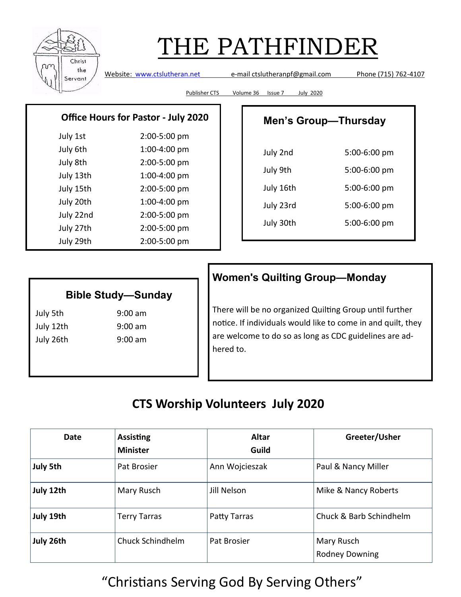

Website: [www.ctslutheran.net](http://www.ctslutheran.net/) e-mail ctslutheranpf@gmail.com Phone (715) 762-4107

Publisher CTS Volume 36 Issue 7 July 2020

#### **Office Hours for Pastor - July 2020**

| July 1st  | 2:00-5:00 pm |
|-----------|--------------|
| July 6th  | 1:00-4:00 pm |
| July 8th  | 2:00-5:00 pm |
| July 13th | 1:00-4:00 pm |
| July 15th | 2:00-5:00 pm |
| July 20th | 1:00-4:00 pm |
| July 22nd | 2:00-5:00 pm |
| July 27th | 2:00-5:00 pm |
| July 29th | 2:00-5:00 pm |

| <b>Men's Group-Thursday</b> |              |  |
|-----------------------------|--------------|--|
| July 2nd                    | 5:00-6:00 pm |  |
| July 9th                    | 5:00-6:00 pm |  |
| July 16th                   | 5:00-6:00 pm |  |
| July 23rd                   | 5:00-6:00 pm |  |
| July 30th                   | 5:00-6:00 pm |  |
|                             |              |  |

### **Bible Study—Sunday**

July 5th 9:00 am July 12th 9:00 am July 26th 9:00 am

### **Women's Quilting Group—Monday**

There will be no organized Quilting Group until further notice. If individuals would like to come in and quilt, they are welcome to do so as long as CDC guidelines are adhered to.

### **CTS Worship Volunteers July 2020**

| Date      | <b>Assisting</b><br><b>Minister</b> | Altar<br>Guild | Greeter/Usher                       |
|-----------|-------------------------------------|----------------|-------------------------------------|
| July 5th  | <b>Pat Brosier</b>                  | Ann Wojcieszak | Paul & Nancy Miller                 |
| July 12th | Mary Rusch                          | Jill Nelson    | Mike & Nancy Roberts                |
| July 19th | <b>Terry Tarras</b>                 | Patty Tarras   | Chuck & Barb Schindhelm             |
| July 26th | Chuck Schindhelm                    | Pat Brosier    | Mary Rusch<br><b>Rodney Downing</b> |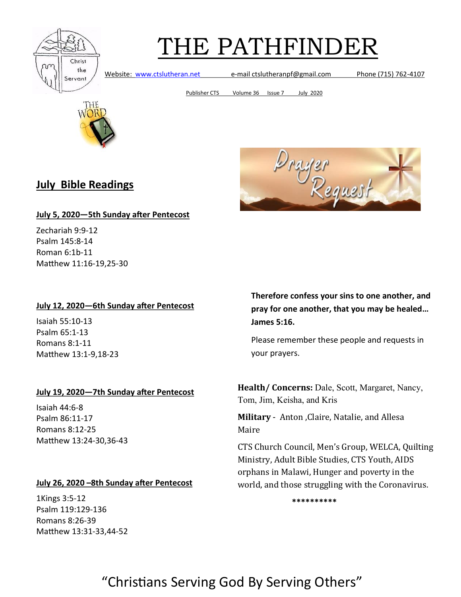

Website: [www.ctslutheran.net](http://www.ctslutheran.net/) e-mail ctslutheranpf@gmail.com Phone (715) 762-4107

Publisher CTS Volume 36 Issue 7 July 2020



### **July Bible Readings**



#### **July 5, 2020—5th Sunday after Pentecost**

Zechariah 9:9-12 Psalm 145:8-14 Roman 6:1b-11 Matthew 11:16-19,25-30

#### **July 12, 2020—6th Sunday after Pentecost**

Isaiah 55:10-13 Psalm 65:1-13 Romans 8:1-11 Matthew 13:1-9,18-23

#### **July 19, 2020—7th Sunday after Pentecost**

Isaiah 44:6-8 Psalm 86:11-17 Romans 8:12-25 Matthew 13:24-30,36-43

#### **July 26, 2020 –8th Sunday after Pentecost**

1Kings 3:5-12 Psalm 119:129-136 Romans 8:26-39 Matthew 13:31-33,44-52 **Therefore confess your sins to one another, and pray for one another, that you may be healed… James 5:16.**

Please remember these people and requests in your prayers.

**Health/ Concerns:** Dale, Scott, Margaret, Nancy, Tom, Jim, Keisha, and Kris

**Military** - Anton ,Claire, Natalie, and Allesa Maire

CTS Church Council, Men's Group, WELCA, Quilting Ministry, Adult Bible Studies, CTS Youth, AIDS orphans in Malawi, Hunger and poverty in the world, and those struggling with the Coronavirus.

**\*\*\*\*\*\*\*\*\*\***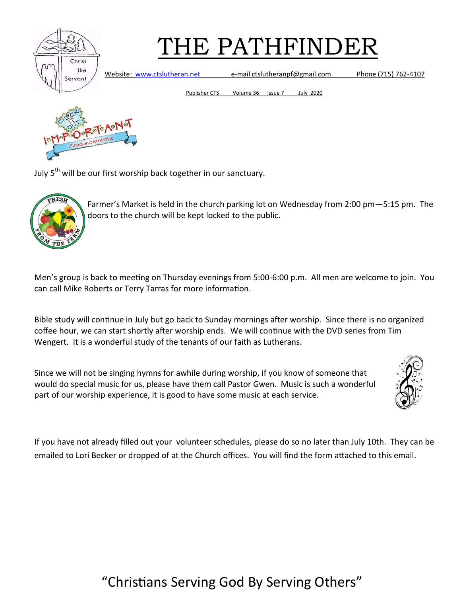

Website: [www.ctslutheran.net](http://www.ctslutheran.net/) e-mail ctslutheranpf@gmail.com Phone (715) 762-4107

Publisher CTS Volume 36 Issue 7 July 2020



July  $5<sup>th</sup>$  will be our first worship back together in our sanctuary.



Farmer's Market is held in the church parking lot on Wednesday from 2:00 pm—5:15 pm. The doors to the church will be kept locked to the public.

Men's group is back to meeting on Thursday evenings from 5:00-6:00 p.m. All men are welcome to join. You can call Mike Roberts or Terry Tarras for more information.

Bible study will continue in July but go back to Sunday mornings after worship. Since there is no organized coffee hour, we can start shortly after worship ends. We will continue with the DVD series from Tim Wengert. It is a wonderful study of the tenants of our faith as Lutherans.

Since we will not be singing hymns for awhile during worship, if you know of someone that would do special music for us, please have them call Pastor Gwen. Music is such a wonderful part of our worship experience, it is good to have some music at each service.



If you have not already filled out your volunteer schedules, please do so no later than July 10th. They can be emailed to Lori Becker or dropped of at the Church offices. You will find the form attached to this email.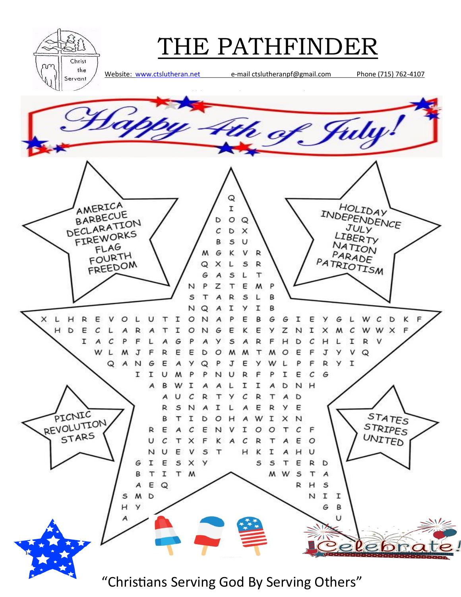